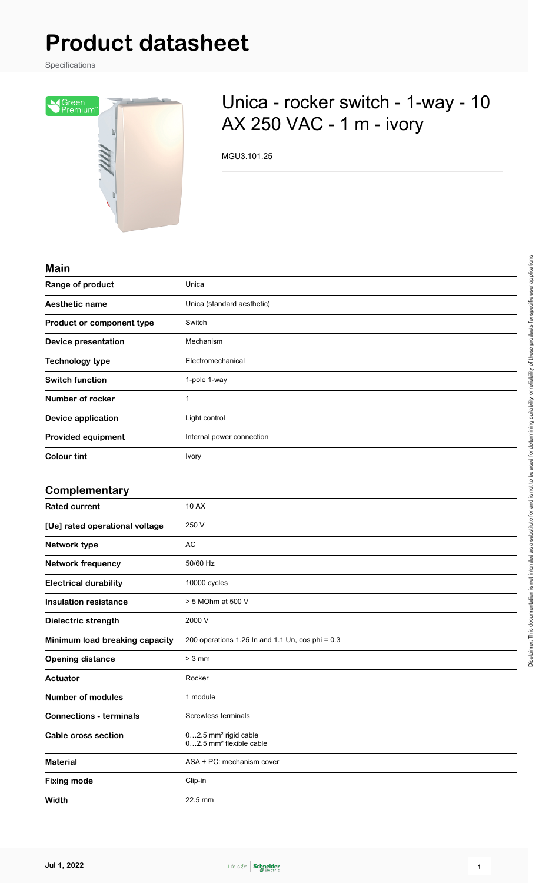# **Product datasheet**

Specifications



## Unica - rocker switch - 1-way - 10 AX 250 VAC - 1 m - ivory

MGU3.101.25

#### **Main**

| Mall                       |                            |
|----------------------------|----------------------------|
| Range of product           | Unica                      |
| <b>Aesthetic name</b>      | Unica (standard aesthetic) |
| Product or component type  | Switch                     |
| <b>Device presentation</b> | Mechanism                  |
| <b>Technology type</b>     | Electromechanical          |
| <b>Switch function</b>     | 1-pole 1-way               |
| Number of rocker           | 1                          |
| Device application         | Light control              |
| <b>Provided equipment</b>  | Internal power connection  |
| <b>Colour tint</b>         | <b>Ivory</b>               |
|                            |                            |

#### **Complementary**

| <b>Rated current</b>           | 10 AX                                                                   |
|--------------------------------|-------------------------------------------------------------------------|
| [Ue] rated operational voltage | 250 V                                                                   |
| Network type                   | AC                                                                      |
| <b>Network frequency</b>       | 50/60 Hz                                                                |
| <b>Electrical durability</b>   | 10000 cycles                                                            |
| <b>Insulation resistance</b>   | > 5 MOhm at 500 V                                                       |
| Dielectric strength            | 2000 V                                                                  |
| Minimum load breaking capacity | 200 operations 1.25 In and 1.1 Un, cos phi = $0.3$                      |
| <b>Opening distance</b>        | $> 3$ mm                                                                |
| Actuator                       | Rocker                                                                  |
| <b>Number of modules</b>       | 1 module                                                                |
| <b>Connections - terminals</b> | Screwless terminals                                                     |
| Cable cross section            | 02.5 mm <sup>2</sup> rigid cable<br>02.5 mm <sup>2</sup> flexible cable |
| <b>Material</b>                | ASA + PC: mechanism cover                                               |
| <b>Fixing mode</b>             | Clip-in                                                                 |
| Width                          | 22.5 mm                                                                 |

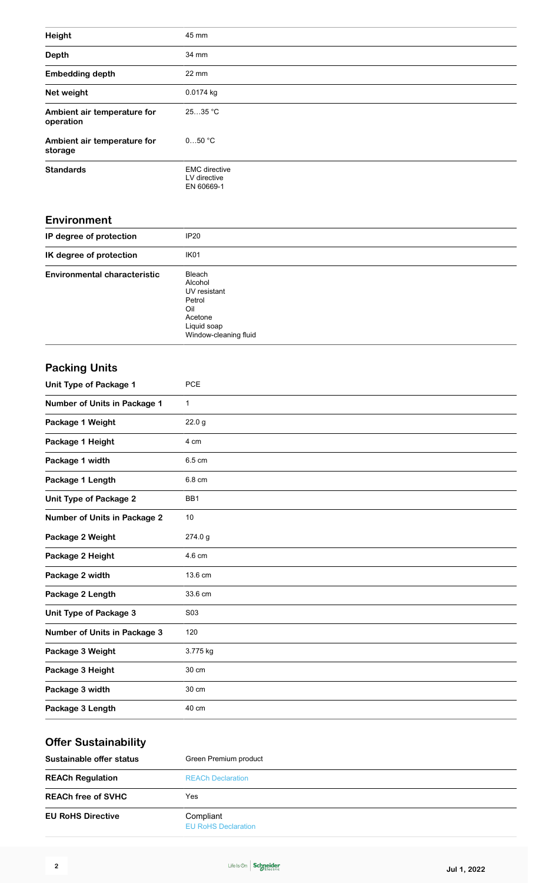| Height                                   | 45 mm                                                                                                 |
|------------------------------------------|-------------------------------------------------------------------------------------------------------|
| <b>Depth</b>                             | 34 mm                                                                                                 |
| <b>Embedding depth</b>                   | 22 mm                                                                                                 |
| Net weight                               | 0.0174 kg                                                                                             |
| Ambient air temperature for<br>operation | 2535 °C                                                                                               |
| Ambient air temperature for<br>storage   | 050 °C                                                                                                |
| <b>Standards</b>                         | <b>EMC</b> directive<br>LV directive<br>EN 60669-1                                                    |
| Environment                              |                                                                                                       |
| IP degree of protection                  | <b>IP20</b>                                                                                           |
| IK degree of protection                  | IK01                                                                                                  |
| <b>Environmental characteristic</b>      | Bleach<br>Alcohol<br>UV resistant<br>Petrol<br>Oil<br>Acetone<br>Liquid soap<br>Window-cleaning fluid |
| <b>Packing Units</b>                     |                                                                                                       |
| <b>Unit Type of Package 1</b>            | <b>PCE</b>                                                                                            |
| <b>Number of Units in Package 1</b>      | 1                                                                                                     |
| Package 1 Weight                         | 22.0 <sub>g</sub>                                                                                     |
| Package 1 Height                         | 4 cm                                                                                                  |
| Package 1 width                          | 6.5 cm                                                                                                |
| Package 1 Length                         | 6.8 cm                                                                                                |
| <b>Unit Type of Package 2</b>            | BB1                                                                                                   |
| <b>Number of Units in Package 2</b>      | 10                                                                                                    |
| Package 2 Weight                         | 274.0 g                                                                                               |
| Package 2 Height                         | 4.6 cm                                                                                                |
| Package 2 width                          | 13.6 cm                                                                                               |
| Package 2 Length                         | 33.6 cm                                                                                               |
| <b>Unit Type of Package 3</b>            | S03                                                                                                   |
| Number of Units in Package 3             | 120                                                                                                   |
| Package 3 Weight                         | 3.775 kg                                                                                              |
| Package 3 Height                         | 30 cm                                                                                                 |
| Package 3 width                          | 30 cm                                                                                                 |
| Package 3 Length                         | 40 cm                                                                                                 |
| Offer Suctainability                     |                                                                                                       |

| Green Premium product                   |  |
|-----------------------------------------|--|
| <b>REACh Declaration</b>                |  |
| Yes                                     |  |
| Compliant<br><b>EU RoHS Declaration</b> |  |
|                                         |  |